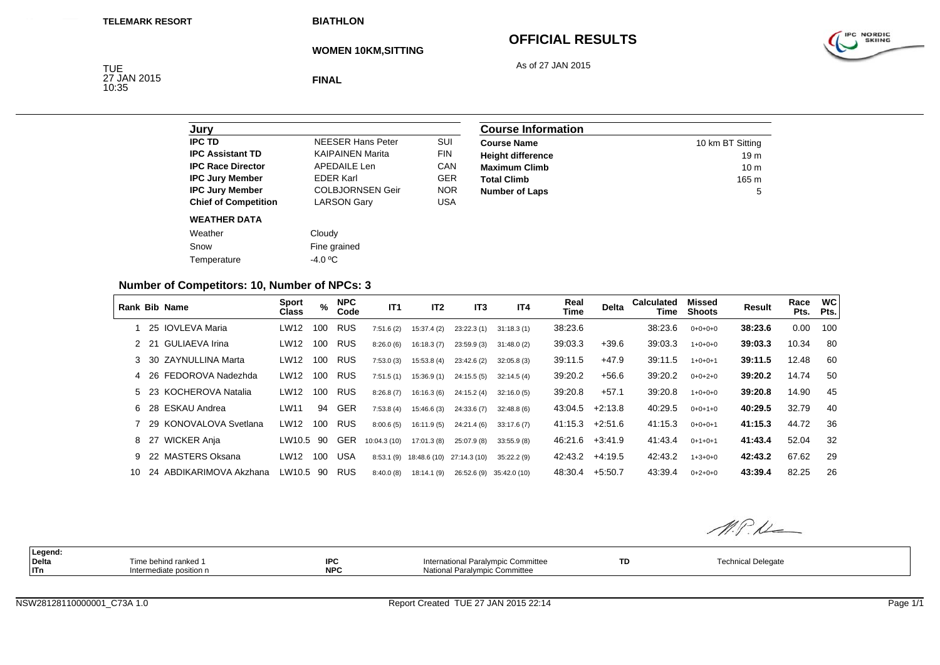**BIATHLON**

# **OFFICIAL RESULTS**

As of 27 JAN 2015



**WOMEN 10KM,SITTING**

TUE<br>27 JAN 2015<br>10:35

**FINAL**

| Jurv                        |                          |            |
|-----------------------------|--------------------------|------------|
| <b>IPC TD</b>               | <b>NEESER Hans Peter</b> | SUI        |
| <b>IPC Assistant TD</b>     | <b>KAIPAINEN Marita</b>  | <b>FIN</b> |
| <b>IPC Race Director</b>    | <b>APEDAILE Len</b>      | CAN        |
| <b>IPC Jury Member</b>      | <b>FDFR Karl</b>         | <b>GER</b> |
| <b>IPC Jury Member</b>      | <b>COLBJORNSEN Geir</b>  | <b>NOR</b> |
| <b>Chief of Competition</b> | <b>LARSON Gary</b>       | USA        |
| <b>WEATHER DATA</b>         |                          |            |
| Weather                     | Cloudy                   |            |
| Snow                        | Fine grained             |            |
| Temperature                 | -4.0 °C                  |            |

| <b>Course Information</b> |                  |
|---------------------------|------------------|
| <b>Course Name</b>        | 10 km BT Sitting |
| <b>Height difference</b>  | 19 <sub>m</sub>  |
| <b>Maximum Climb</b>      | 10 <sub>m</sub>  |
| <b>Total Climb</b>        | $165 \text{ m}$  |
| <b>Number of Laps</b>     | 5                |

### **Number of Competitors: 10, Number of NPCs: 3**

|     | Rank Bib Name            | <b>Sport</b><br>Class | %   | <b>NPC</b><br>Code | IT1          | IT <sub>2</sub> | IT <sub>3</sub>           | IT <sub>4</sub>          | Real<br>Time | <b>Delta</b> | <b>Calculated</b><br>Time | Missed<br>Shoots | Result  | Race<br>Pts. | <b>WC</b><br>Pts. |
|-----|--------------------------|-----------------------|-----|--------------------|--------------|-----------------|---------------------------|--------------------------|--------------|--------------|---------------------------|------------------|---------|--------------|-------------------|
|     | 25 IOVLEVA Maria         | LW12                  | 100 | <b>RUS</b>         | 7:51.6(2)    | 15:37.4 (2)     | 23:22.3(1)                | 31:18.3(1)               | 38:23.6      |              | 38:23.6                   | $0+0+0+0$        | 38:23.6 | 0.00         | 100               |
|     | 2 21 GULIAEVA Irina      | LW12                  | 100 | <b>RUS</b>         | 8:26.0(6)    | 16:18.3(7)      | 23:59.9(3)                | 31:48.0(2)               | 39:03.3      | $+39.6$      | 39:03.3                   | $1+0+0+0$        | 39:03.3 | 10.34        | 80                |
|     | 3 30 ZAYNULLINA Marta    | LW12                  | 100 | <b>RUS</b>         | 7:53.0(3)    | 15:53.8(4)      | 23:42.6(2)                | 32:05.8(3)               | 39:11.5      | $+47.9$      | 39:11.5                   | $1+0+0+1$        | 39:11.5 | 12.48        | 60                |
|     | 4 26 FEDOROVA Nadezhda   | LW12                  | 100 | <b>RUS</b>         | 7:51.5(1)    | 15:36.9 (1)     | 24:15.5(5)                | 32:14.5(4)               | 39:20.2      | $+56.6$      | 39:20.2                   | $0+0+2+0$        | 39:20.2 | 14.74        | -50               |
|     | 5 23 KOCHEROVA Natalia   | LW12                  | 100 | <b>RUS</b>         | 8:26.8(7)    | 16:16.3(6)      | 24:15.2 (4)               | 32:16.0(5)               | 39:20.8      | $+57.1$      | 39:20.8                   | $1+0+0+0$        | 39:20.8 | 14.90        | 45                |
|     | 6 28 ESKAU Andrea        | LW11                  | 94  | GER                | 7:53.8(4)    | 15:46.6(3)      | 24:33.6(7)                | 32:48.8(6)               | 43:04.5      | $+2:13.8$    | 40:29.5                   | $0+0+1+0$        | 40:29.5 | 32.79        | 40                |
|     | 7 29 KONOVALOVA Svetlana | LW12                  | 100 | <b>RUS</b>         | 8:00.6(5)    | 16:11.9 (5)     | 24:21.4 (6)               | 33:17.6(7)               | 41:15.3      | $+2:51.6$    | 41:15.3                   | $0+0+0+1$        | 41:15.3 | 44.72        | 36                |
|     | 8 27 WICKER Anja         | LW10.5                | 90  | <b>GER</b>         | 10:04.3 (10) | 17:01.3 (8)     | 25:07.9(8)                | 33:55.9(8)               | 46:21.6      | $+3:41.9$    | 41:43.4                   | $0+1+0+1$        | 41:43.4 | 52.04        | 32                |
|     | 9 22 MASTERS Oksana      | LW12                  | 100 | <b>USA</b>         | 8:53.1(9)    |                 | 18:48.6 (10) 27:14.3 (10) | 35:22.2(9)               | 42:43.2      | $+4.19.5$    | 42:43.2                   | $1+3+0+0$        | 42:43.2 | 67.62        | 29                |
| 10. | 24 ABDIKARIMOVA Akzhana  | LW10.5                | 90  | <b>RUS</b>         | 8:40.0(8)    | 18:14.1(9)      |                           | 26:52.6 (9) 35:42.0 (10) | 48:30.4      | $+5:50.7$    | 43:39.4                   | $0+2+0+0$        | 43:39.4 | 82.25        | 26                |

M.P.M **Legend: Delta** Time behind ranked 1 **IPCIPC International Paralympic Committee <b>TD TD** Technical Delegate<br> **NPC** National Paralympic Committee **THE ITn**Intermediate position n **NPC** National Paralympic Committee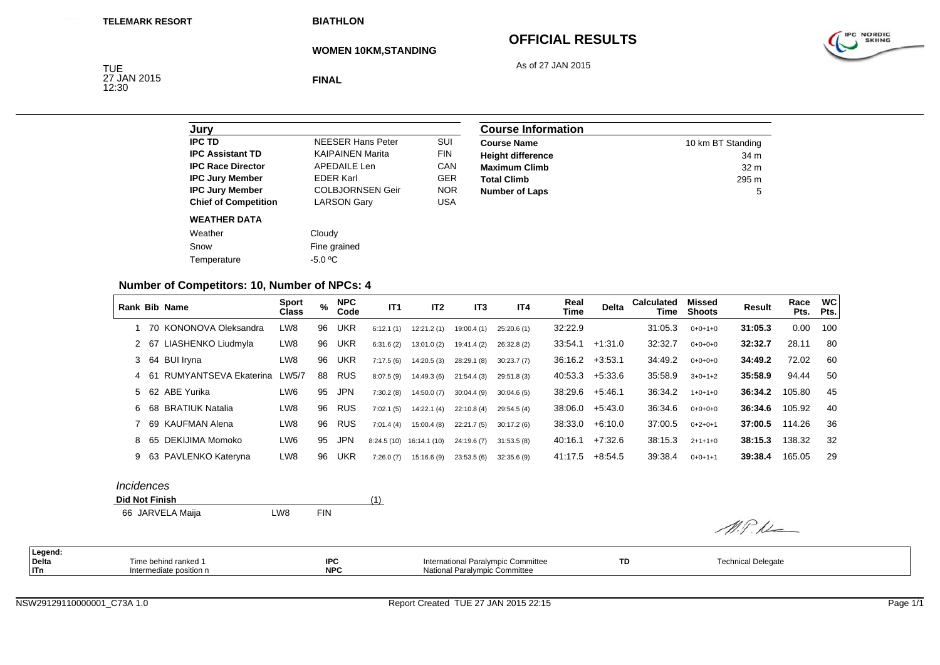**BIATHLON**

# **OFFICIAL RESULTS**

As of 27 JAN 2015



**WOMEN 10KM,STANDING**

TUE<br>27 JAN 2015<br>12:30

**FINAL**

| Jury                        |                          |            |
|-----------------------------|--------------------------|------------|
| <b>IPC TD</b>               | <b>NEESER Hans Peter</b> | SUI        |
| <b>IPC Assistant TD</b>     | <b>KAIPAINEN Marita</b>  | <b>FIN</b> |
| <b>IPC Race Director</b>    | <b>APEDAILE Len</b>      | CAN        |
| <b>IPC Jury Member</b>      | <b>FDFR Karl</b>         | <b>GER</b> |
| <b>IPC Jury Member</b>      | <b>COLBJORNSEN Geir</b>  | <b>NOR</b> |
| <b>Chief of Competition</b> | <b>LARSON Gary</b>       | USA        |
| <b>WEATHER DATA</b>         |                          |            |
| Weather                     | Cloudy                   |            |
| Snow                        | Fine grained             |            |
| Temperature                 | -5.0 °C                  |            |

| <b>Course Information</b> |                   |
|---------------------------|-------------------|
| <b>Course Name</b>        | 10 km BT Standing |
| <b>Height difference</b>  | 34 m              |
| <b>Maximum Climb</b>      | 32 <sub>m</sub>   |
| <b>Total Climb</b>        | 295 m             |
| <b>Number of Laps</b>     | 5                 |

## **Number of Competitors: 10, Number of NPCs: 4**

|      | Rank Bib Name           | <b>Sport</b><br><b>Class</b> | %  | <b>NPC</b><br>Code | IT1        | IT <sub>2</sub> | IT <sub>3</sub> | IT4        | Real<br>Time | <b>Delta</b> | <b>Calculated</b><br>Time | Missed<br><b>Shoots</b> | Result  | Race<br>Pts. | <b>WC</b><br>Pts. |
|------|-------------------------|------------------------------|----|--------------------|------------|-----------------|-----------------|------------|--------------|--------------|---------------------------|-------------------------|---------|--------------|-------------------|
|      | 70 KONONOVA Oleksandra  | LW8                          | 96 | <b>UKR</b>         | 6:12.1(1)  | 12:21.2(1)      | 19:00.4(1)      | 25:20.6(1) | 32:22.9      |              | 31:05.3                   | $0+0+1+0$               | 31:05.3 | 0.00         | 100               |
|      | 2 67 LIASHENKO Liudmyla | LW8                          | 96 | UKR                | 6:31.6(2)  | 13:01.0(2)      | 19:41.4 (2)     | 26:32.8(2) | 33:54.1      | $+1:31.0$    | 32:32.7                   | $0+0+0+0$               | 32:32.7 | 28.11        | 80                |
|      | 3 64 BUI Iryna          | LW8                          | 96 | <b>UKR</b>         | 7:17.5(6)  | 14:20.5(3)      | 28:29.1 (8)     | 30:23.7(7) | 36:16.2      | $+3:53.1$    | 34:49.2                   | $0+0+0+0$               | 34:49.2 | 72.02        | 60                |
| 4 61 | RUMYANTSEVA Ekaterina   | LW5/7                        | 88 | <b>RUS</b>         | 8:07.5(9)  | 14:49.3(6)      | 21:54.4(3)      | 29:51.8(3) | 40:53.3      | $+5:33.6$    | 35:58.9                   | $3+0+1+2$               | 35:58.9 | 94.44        | 50                |
|      | 5 62 ABE Yurika         | LW6                          | 95 | <b>JPN</b>         | 7:30.2(8)  | 14:50.0(7)      | 30:04.4(9)      | 30:04.6(5) | 38:29.6      | $+5:46.1$    | 36:34.2                   | $1+0+1+0$               | 36:34.2 | 105.80       | 45                |
|      | 6 68 BRATIUK Natalia    | LW8                          | 96 | <b>RUS</b>         | 7:02.1(5)  | 14:22.1(4)      | 22:10.8(4)      | 29:54.5(4) | 38:06.0      | $+5:43.0$    | 36:34.6                   | $0+0+0+0$               | 36:34.6 | 105.92       | 40                |
|      | 7 69 KAUFMAN Alena      | LW8                          | 96 | <b>RUS</b>         | 7:01.4(4)  | 15:00.4(8)      | 22:21.7(5)      | 30:17.2(6) | 38:33.0      | $+6:10.0$    | 37:00.5                   | $0+2+0+1$               | 37:00.5 | 114.26       | 36                |
|      | 8 65 DEKIJIMA Momoko    | LW6                          | 95 | <b>JPN</b>         | 8:24.5(10) | 16:14.1 (10)    | 24:19.6(7)      | 31:53.5(8) | 40:16.1      | $+7:32.6$    | 38:15.3                   | $2+1+1+0$               | 38:15.3 | 138.32       | 32                |
|      | 9 63 PAVLENKO Katervna  | LW8                          | 96 | UKR                | 7:26.0(7)  | 15:16.6(9)      | 23:53.5(6)      | 32:35.6(9) | 41:17.5      | $+8.54.5$    | 39:38.4                   | $0+0+1+1$               | 39:38.4 | 165.05       | 29                |

#### *Incidences*

| <b>Did Not Finish</b> |   |      |  |
|-----------------------|---|------|--|
| .                     | . | ____ |  |

66 JARVELA Maija LW8 FIN

| Legend: |                         |            |                                    |    |                    |
|---------|-------------------------|------------|------------------------------------|----|--------------------|
| Delta   | Time behind ranked 1    | <b>IPC</b> | International Paralympic Committee | TD | Technical Delegate |
| ITn     | Intermediate position n | <b>NPC</b> | National Paralympic Committee      |    |                    |

 $M.P.L$